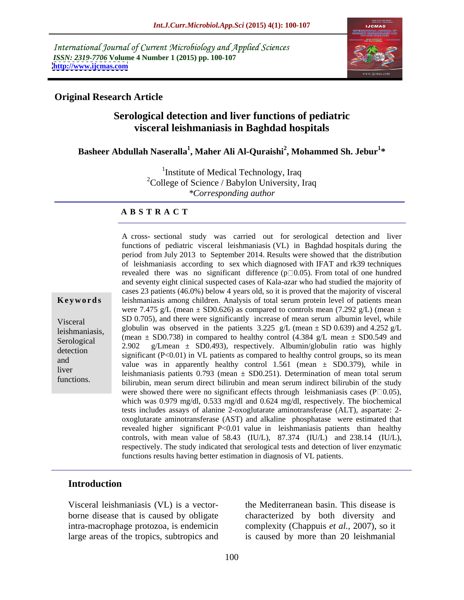International Journal of Current Microbiology and Applied Sciences *ISSN: 2319-7706* **Volume 4 Number 1 (2015) pp. 100-107 <http://www.ijcmas.com>**



### **Original Research Article**

### **Serological detection and liver functions of pediatric visceral leishmaniasis in Baghdad hospitals**

### **Basheer Abdullah Naseralla<sup>1</sup> , Maher Ali Al-Quraishi<sup>2</sup> , Mohammed Sh. Jebur<sup>1</sup> \***

<sup>1</sup>Institute of Medical Technology, Iraq <sup>2</sup>College of Science / Babylon University, Iraq *\*Corresponding author*

### **A B S T R A C T**

functions.

A cross- sectional study was carried out for serological detection and liver functions of pediatric visceral leishmaniasis (VL) in Baghdad hospitals during the period from July 2013 to September 2014. Results were showed that the distribution of leishmaniasis according to sex which diagnosed with IFAT and rk39 techniques revealed there was no significant difference  $(p \Box 0.05)$ . From total of one hundred and seventy eight clinical suspected cases of Kala-azar who had studied the majority of cases 23 patients (46.0%) below 4 years old, so it is proved that the majority of visceral **Keywords** leishmaniasis among children. Analysis of total serum protein level of patients mean were 7.475 g/L (mean  $\pm$  SD0.626) as compared to controls mean (7.292 g/L) (mean  $\pm$ Visceral SD 0.705), and there were significantly increase of mean serum albumin level, while globulin was observed in the patients 3.225 g/L (mean  $\pm$  SD 0.639) and 4.252 g/L leishmaniasis,<br>
(mean  $\pm$  SD0.738) in compared to healthy control (4.384 g/L mean  $\pm$  SD0.549 and<br>
Serelogical (mean  $\pm$  SD0.738) in compared to healthy control (4.384 g/L mean  $\pm$  SD0.549 and 2.902 g/Lmean ± SD0.493), respectively. Albumin/globulin ratio was highly detection significant  $(P<0.01)$  in VL patients as compared to healthy control groups, so its mean and value was in apparently healthy control  $1.561$  (mean  $\pm$  SD0.379), while in liver<br>leishmaniasis patients  $0.793$  (mean  $\pm$  SD0.251). Determination of mean total serum bilirubin, mean serum direct bilirubin and mean serum indirect bilirubin of the study were showed there were no significant effects through leishmaniasis cases ( $P \Box 0.05$ ), which was 0.979 mg/dl, 0.533 mg/dl and 0.624 mg/dl, respectively. The biochemical tests includes assays of alanine 2-oxoglutarate aminotransferase (ALT), aspartate: 2 oxoglutarate aminotransferase (AST) and alkaline phosphatase were estimated that revealed higher significant P<0.01 value in leishmaniasis patients than healthy controls, with mean value of 58.43 (IU/L), 87.374 (IU/L) and 238.14 (IU/L), respectively. The study indicated that serological tests and detection of liver enzymatic functions results having better estimation in diagnosis of VL patients. Serological  $\frac{1}{2}$  (in call  $\pm$  SD0.190) in compared to healthy control (4.504 g/L ineal  $\pm$  SD0.547 and

### **Introduction**

Visceral leishmaniasis (VL) is a vector borne disease that is caused by obligate intra-macrophage protozoa, is endemicin complexity (Chappuis *et al.,* 2007), so it large areas of the tropics, subtropics and is caused by more than 20 leishmanial

the Mediterranean basin. This disease is characterized by both diversity and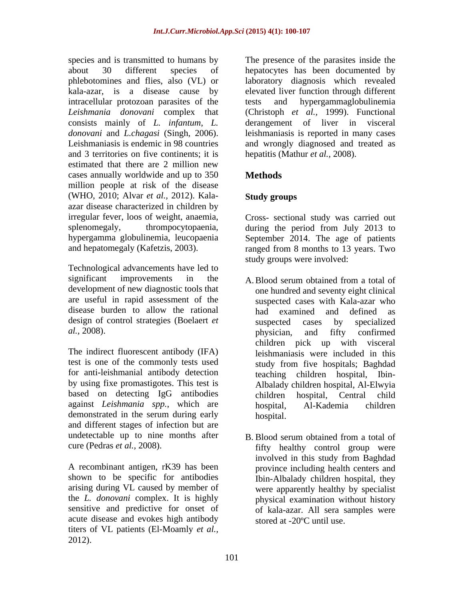species and is transmitted to humans by The presence of the parasites inside the about 30 different species of hepatocytes has been documented by phlebotomines and flies, also (VL) or laboratory diagnosis which revealed kala-azar, is a disease cause by elevated liver function through different intracellular protozoan parasites of the *Leishmania donovani* complex that (Christoph *et al.,* 1999). Functional consists mainly of *L. infantum*, *L.*  derangement of liver in visceral *donovani* and *L.chagasi* (Singh, 2006). leishmaniasis is reported in many cases<br>Leishmaniasis is endemic in 98 countries and wrongly diagnosed and treated as and 3 territories on five continents; it is estimated that there are 2 million new cases annually worldwide and up to 350 Methods million people at risk of the disease (WHO, 2010; Alvar *et al.,* 2012). Kala azar disease characterized in children by irregular fever, loos of weight, anaemia, Cross- sectional study was carried out splenomegaly, thrompocytopaenia, during the period from July 2013 to hypergamma globulinemia, leucopaenia September 2014. The age of patients and hepatomegaly (Kafetzis, 2003). ranged from 8 months to 13 years. Two

Technological advancements have led to significant improvements in the A. Blood serum obtained from a total of development of new diagnostic tools that are useful in rapid assessment of the disease burden to allow the rational had examined and defined as design of control strategies (Boelaert *et* suspected cases by specialized *al.,* 2008).

The indirect fluorescent antibody (IFA) test is one of the commonly tests used study from five hospitals; Baghdad for anti-leishmanial antibody detection by using fixe promastigotes. This test is based on detecting IgG antibodies children hospital. Central child against *Leishmania spp.*, which are demonstrated in the serum during early hospital. and different stages of infection but are undetectable up to nine months after B. Blood serum obtained from a total of

A recombinant antigen, rK39 has been shown to be specific for antibodies arising during VL caused by member of the *L. donovani* complex. It is highly sensitive and predictive for onset of of kala-azar. All sera samples were acute disease and evokes high antibody titers of VL patients (El-Moamly *et al.,* 2012).

tests and hypergammaglobulinemia leishmaniasis is reported in many cases and wrongly diagnosed and treated as hepatitis (Mathur *et al.,* 2008).

# **Methods**

# **Study groups**

study groups were involved:

- A.Blood serum obtained from a total of one hundred and seventy eight clinical suspected cases with Kala-azar who had examined and defined as suspected cases by specialized physician, and fifty confirmed children pick up with visceral leishmaniasis were included in this study from five hospitals; Baghdad teaching children hospital, Ibin- Albalady children hospital, Al-Elwyia children hospital, Central child hospital, Al-Kademia children hospital.
- cure (Pedras *et al.*, 2008). Fifty healthy control group were B. Blood serum obtained from a total of involved in this study from Baghdad province including health centers and Ibin-Albalady children hospital, they were apparently healthy by specialist physical examination without history stored at -20ºC until use.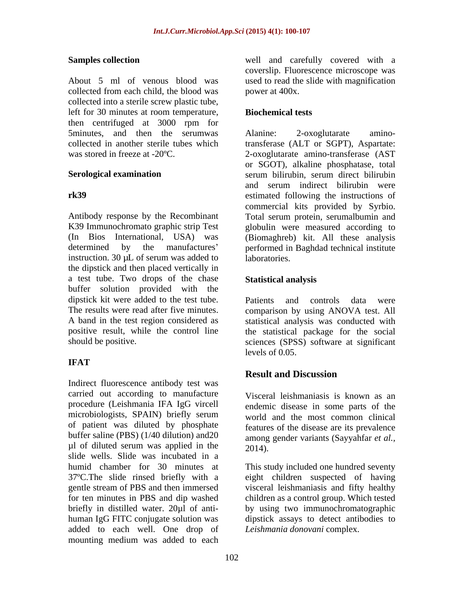About 5 ml of venous blood was used to read the slide with magnification collected from each child, the blood was collected into a sterile screw plastic tube, left for 30 minutes at room temperature, then centrifuged at 3000 rpm for 5minutes, and then the serumwas Alanine: 2-oxoglutarate amino-

Antibody response by the Recombinant Total serum protein, serumalbumin and K39 Immunochromato graphic strip Test globulin were measured according to (In Bios International, USA) was (Biomaghreb) kit. All these analysis determined by the manufactures performed in Baghdad technical institute instruction. 30  $\mu$ L of serum was added to  $\qquad$  laboratories. the dipstick and then placed vertically in a test tube. Two drops of the chase **Statistical analysis** buffer solution provided with the dipstick kit were added to the test tube. Patients and controls data were The results were read after five minutes. comparison by using ANOVA test. All A band in the test region considered as statistical analysis was conducted with positive result, while the control line the statistical package for the social

## **IFAT**

Indirect fluorescence antibody test was carried out according to manufacture procedure (Leishmania IFA IgG vircell microbiologists, SPAIN) briefly serum world and the most common clinical of patient was diluted by phosphate buffer saline (PBS) (1/40 dilution) and20  $\mu$ l of diluted serum was applied in the  $2014$ . slide wells. Slide was incubated in a humid chamber for 30 minutes at This study included one hundred seventy 37ºC.The slide rinsed briefly with a eight children suspected of having gentle stream of PBS and then immersed visceral leishmaniasis and fifty healthy for ten minutes in PBS and dip washed children as a control group. Which tested briefly in distilled water. 20µl of anti- by using two immunochromatographic human IgG FITC conjugate solution was dipstick assays to detect antibodies to added to each well. One drop of mounting medium was added to each

**Samples collection** well and carefully covered with a coverslip. Fluorescence microscope was power at 400x.

### **Biochemical tests**

collected in another sterile tubes which transferase (ALT or SGPT), Aspartate: was stored in freeze at -20ºC. 2-oxoglutarate amino-transferase (AST **Serological examination Serological examination Serological examination Serological examination rk39** estimated following the instructions of Alanine: 2-oxoglutarate aminoor SGOT), alkaline phosphatase, total serum bilirubin, serum direct bilirubin and serum indirect bilirubin were commercial kits provided by Syrbio. laboratories.

### **Statistical analysis**

should be positive. sciences (SPSS) software at significant Patients and controls data were levels of 0.05.

## **Result and Discussion**

Visceral leishmaniasis is known as an endemic disease in some parts of the world and the most common clinical features of the disease are its prevalence among gender variants (Sayyahfar *et al.,* 2014).

*Leishmania donovani* complex.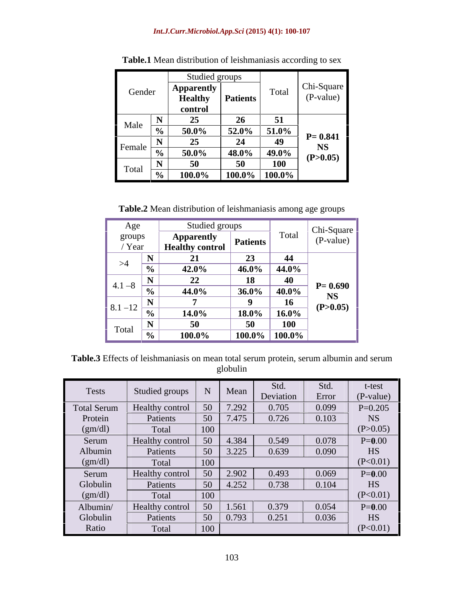### *Int.J.Curr.Microbiol.App.Sci* **(2015) 4(1): 100-107**

|                                  |                    | Studied groups        |        |             |
|----------------------------------|--------------------|-----------------------|--------|-------------|
| Gender                           | Apparently         |                       | Total  | Chi-Square  |
|                                  | <b>Healthy</b>     | Patients              |        | (P-value)   |
|                                  | control            |                       |        |             |
| Male<br>$\overline{\phantom{a}}$ |                    |                       |        |             |
|                                  | $\frac{1}{50.0\%}$ | $52.0\%$ 51.0%        |        | $P = 0.841$ |
|                                  |                    | 24                    | $\sim$ | <b>NS</b>   |
| Female $\frac{1}{\alpha'}$       | $50.0\%$           | $\vert$ 48.0%   49.0% |        | (P>0.05)    |
| Total $\frac{11}{2}$             |                    |                       | 100    |             |
|                                  | $100.0\%$          | $\vert$ 100.0% 100.0% |        |             |

**Table.1** Mean distribution of leishmaniasis according to sex

**Table.2** Mean distribution of leishmaniasis among age groups

| Age                    | Studied groups         |                 |                                     |             |
|------------------------|------------------------|-----------------|-------------------------------------|-------------|
|                        |                        |                 |                                     | Chi-Square  |
| groups<br>/ Year       | <b>Apparentl</b>       | <b>Patients</b> |                                     | (P-value)   |
|                        | <b>Healthy control</b> |                 |                                     |             |
|                        |                        | 22              |                                     |             |
| >4<br>$\gamma_0$       | 42.0%                  |                 | $1.46.0\%$ 44.0%                    |             |
|                        |                        |                 |                                     |             |
| $4.1 - 8$<br>-70       | 44.0%                  | $36.0\%$        | $ 40.0\%$                           | $P = 0.690$ |
|                        |                        |                 | 16                                  | NS.         |
| 8.1 – 12 $\frac{1}{2}$ | 14.0%                  |                 | 18.0%   16.0%                       | (P>0.05)    |
|                        |                        |                 | <b>100</b>                          |             |
| Total<br>-70           | $\overline{100.0\%}$   |                 | $\boxed{100.0\%}$ $\boxed{100.0\%}$ |             |

**Table.3** Effects of leishmaniasis on mean total serum protein, serum albumin and serum globulin

| <b>Tests</b>       | Studied groups  |                 | Mean  | $R_{\rm{fd}}$<br>Deviation | Std.<br>Error | t-test<br>(P-value) |
|--------------------|-----------------|-----------------|-------|----------------------------|---------------|---------------------|
| <b>Total Serum</b> | Healthy control | 50              | 7.292 | 0.705                      | 0.099         | $P=0.205$           |
| Protein            | Patients        | 50              | 7.475 | 0.726                      | 0.103         | <b>NS</b>           |
| (gm/dl)            | Total           | 100             |       |                            |               | (P>0.05)            |
| Serum              | Healthy control | 50              | 4.384 | 0.549                      | 0.078         | $P = 0.00$          |
| Albumin            | Patients        | 50 <sup>°</sup> | 3.225 | 0.639                      | 0.090         | HS                  |
| (gm/dl)            | Total           | 100             |       |                            |               | (P<0.01)            |
| Serum              | Healthy control | $\vert$ 50      | 2.902 | 0.493                      | 0.069         | $P = 0.00$          |
| Globulin           | Patients        | 50              | 4.252 | 0.738                      | 0.104         | HS                  |
| (gm/dl)            | Total           | 100             |       |                            |               | (P<0.01)            |
| Albumin/           | Healthy control | 50              | 1.561 | 0.379                      | 0.054         | $P = 0.00$          |
| Globulin           | Patients        | 50              | 0.793 | 0.251                      | 0.036         | HS                  |
| Ratio              | Total           | 100             |       |                            |               | (P<0.01)            |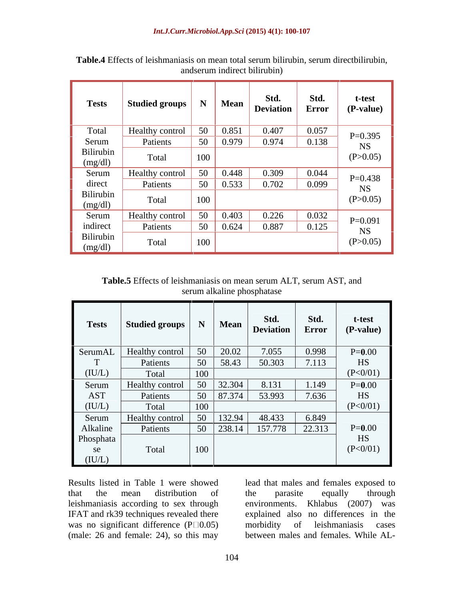| <b>Tests</b>         | Studied groups   N |     | <b>Mean</b> | Std.<br><b>Deviation</b> | Std.<br>Error | t-test<br>(P-value) |
|----------------------|--------------------|-----|-------------|--------------------------|---------------|---------------------|
| Total                | Healthy control    | 50  | 0.851       | 0.407                    | 0.057         | $P=0.395$           |
| Serum                | Patients           | 50  | 0.979       | 0.974                    | 0.138         | <b>NS</b>           |
| Bilirubin<br>(mg/dl) | Total              | 100 |             |                          |               | (P>0.05)            |
| Serum                | Healthy control    | 50  | 0.448       | 0.309                    | 0.044         | $P=0.438$           |
| direct               | Patients           | 50  | 0.533       | 0.702                    | 0.099         | <b>NS</b>           |
| Bilirubin<br>(mg/dl) | Total              | 100 |             |                          |               | (P>0.05)            |
| Serum                | Healthy control    | 50  | 0.403       | 0.226                    | 0.032         | $P=0.091$           |
| indirect             | Patients           | 50  | 0.624       | 0.887                    | 0.125         | <b>NS</b>           |
| Bilirubin<br>(mg/dl) | Total              | 100 |             |                          |               | (P>0.05)            |

**Table.4** Effects of leishmaniasis on mean total serum bilirubin, serum directbilirubin, andserum indirect bilirubin)

**Table.5** Effects of leishmaniasis on mean serum ALT, serum AST, and serum alkaline phosphatase

| <b>Tests</b> | Studied groups            |     | <b>Mean</b> | Std.<br>Deviation | Std.<br>Error | t-test<br>(P-value) |
|--------------|---------------------------|-----|-------------|-------------------|---------------|---------------------|
|              | SerumAL   Healthy control | 50  | 20.02       | 7.055             | 0.998         | $P = 0.00$          |
|              | Patients                  | 50  | 58.43       | 50.303            | 7.113         | HS                  |
| (IU/L)       | Total                     | 100 |             |                   |               | (P<0/01)            |
| Serum        | Healthy control           | 50  | 32.304      | 8.131             | 1.149         | $P = 0.00$          |
| <b>AST</b>   | Patients                  | 50  | 87.374      | 53.993            | 7.636         | HS                  |
| (IU/L)       | Total                     | 100 |             |                   |               | (P<0/01)            |
| Serum        | Healthy control           | 50  | 132.94      | 48.433            | 6.849         |                     |
| Alkaline     | Patients                  | 50  | 238.14      | 157.778           | 22.313        | $P = 0.00$          |
| Phosphata    |                           |     |             |                   |               | <b>HS</b>           |
| se           | Total                     | 100 |             |                   |               | (P<0/01)            |
| (IU/L)       |                           |     |             |                   |               |                     |

Results listed in Table 1 were showed lead that males and females exposed to that the mean distribution of the parasite equally through leishmaniasis according to sex through environments. Khlabus (2007) was IFAT and rk39 techniques revealed there explained also no differences in the was no significant difference  $(P \square 0.05)$  morbidity of leishmaniasis cases (male: 26 and female: 24), so this may

the parasite equally through morbidity of leishmaniasis cases between males and females. While AL-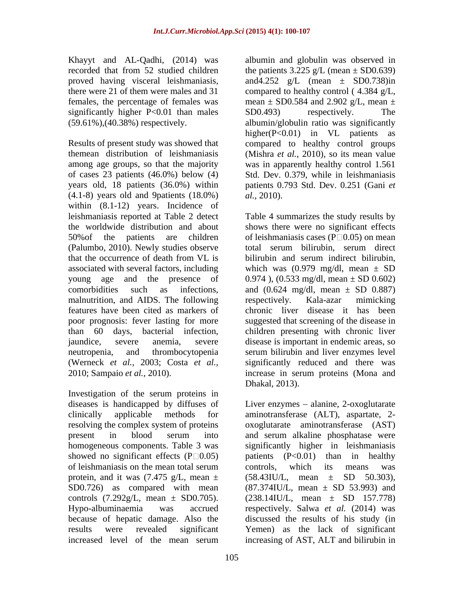Khayyt and AL-Qadhi, (2014) was albumin and globulin was observed in proved having visceral leishmaniasis, females, the percentage of females was significantly higher  $P<0.01$  than males  $SD0.493$  respectively. The

Results of present study was showed that compared to healthy control groups themean distribution of leishmaniasis (Mishra *et al.,* 2010), so its mean value among age groups, so that the majority was in apparently healthy control 1.561 of cases 23 patients (46.0%) below (4) Std. Dev. 0.379, while in leishmaniasis years old, 18 patients (36.0%) within patients 0.793 Std. Dev. 0.251 (Gani *et*   $(4.1-8)$  years old and 9patients  $(18.0\%)$  *al.*, 2010). within  $(8.1-12)$  years. Incidence of (Palumbo, 2010). Newly studies observe associated with several factors, including which was  $(0.979 \text{ mg/dl})$ , mean  $\pm$  SD malnutrition, and AIDS. The following neutropenia, and thrombocytopenia serum bilirubin and liver enzymes level

Investigation of the serum proteins in diseases is handicapped by diffuses of Liver enzymes – alanine, 2-oxoglutarate clinically applicable methods for aminotransferase (ALT), aspartate, 2 resolving the complex system of proteins oxoglutarate aminotransferase (AST) present in blood serum into and serum alkaline phosphatase were homogeneous components. Table 3 was significantly higher in leishmaniasis showed no significant effects  $(P \square 0.05)$  patients  $(P< 0.01)$  than in healthy of leishmaniasis on the mean total serum protein, and it was  $(7.475 \text{ g/L}, \text{mean } \pm \text{ (58.43)}}$ U/L, mean  $\pm$  SD 50.303), SD0.726) as compared with mean  $(87.374$ IU/L, mean  $\pm$  SD 53.993) and controls  $(7.292g/L, \text{ mean } \pm \text{ SD}0.705)$ .  $(238.14 \text{I} \text{U/L}, \text{ mean } \pm \text{ S} \text{D} \text{ } 157.778)$ Hypo-albuminaemia was accrued respectively. Salwa *et al.* (2014) was because of hepatic damage. Also the discussed the results of his study (in results were revealed significant Yemen) as the lack of significant increased level of the mean serum increasing of AST, ALT and bilirubin in

recorded that from 52 studied children the patients  $3.225 \text{ g/L}$  (mean  $\pm$  SD0.639) there were 21 of them were males and 31 compared to healthy control ( 4.384 g/L, (59.61%),(40.38%) respectively. albumin/globulin ratio was significantly and 4.252 g/L (mean  $\pm$  SD0.738) in mean  $\pm$  SD0.584 and 2.902 g/L, mean  $\pm$ SD0.493) respectively. The higher(P<0.01) in VL patients as *al.,* 2010).

leishmaniasis reported at Table 2 detect Table 4 summarizes the study results by the worldwide distribution and about shows there were no significant effects 50% of the patients are children of leishmaniasis cases ( $P \Box 0.05$ ) on mean that the occurrence of death from VL is bilirubin and serum indirect bilirubin, young age and the presence of  $0.974$ ),  $(0.533 \text{ mg/dl, mean} \pm SD 0.602)$ comorbidities such as infections, and  $(0.624 \text{ mg/dl}, \text{mean } \pm \text{ SD } 0.887)$ features have been cited as markers of chronic liver disease it has been poor prognosis: fever lasting for more suggested that screening of the disease in than 60 days, bacterial infection, children presenting with chronic liver jaundice, severe anemia, severe disease is important in endemic areas, so (Werneck *et al.,* 2003; Costa *et al.,* significantly reduced and there was 2010; Sampaio *et al.,* 2010). increase in serum proteins (Mona and total serum bilirubin, serum direct bilirubin and serum indirect bilirubin,<br>which was (0.979 mg/dl, mean  $\pm$  SD respectively. Kala-azar mimicking serum bilirubin and liver enzymes level Dhakal, 2013).

> and serum alkaline phosphatase were controls, which its means was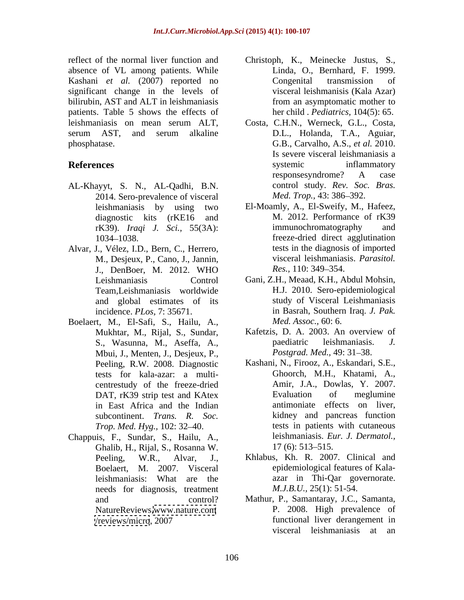absence of VL among patients. While Kashani *et al.* (2007) reported no significant change in the levels of bilirubin, AST and ALT in leishmaniasis patients. Table 5 shows the effects of leishmaniasis on mean serum ALT,

- AL-Khayyt, S. N., AL-Qadhi, B.N. control study. Rev. Soc.<br>2014. Sero-prevalence of visceral *Med. Trop.*, 43: 386–392. 2014. Sero-prevalence of visceral
- Alvar, J., Vélez, I.D., Bern, C., Herrero, M., Desjeux, P., Cano, J., Jannin, Team,Leishmaniasis worldwide and global estimates of its
- Boelaert, M., El-Safi, S., Hailu, A., *Med. Assoc.*, 60: 6.<br>Mukhtar, M., Rijal, S., Sundar, Kafetzis, D. A. 2003. An overview of Mbui, J., Menten, J., Desjeux, P., tests for kala-azar: a multi centrestudy of the freeze-dried in East Africa and the Indian *Trop. Med. Hyg., 102: 32–40.*
- Chappuis, F., Sundar, S., Hailu, A., Ghalib, H., Rijal, S., Rosanna W. needs for diagnosis, treatment
- reflect of the normal liver function and Christoph, K., Meinecke Justus, S., Linda, O., Bernhard, F. 1999. Congenital transmission of visceral leishmanisis (Kala Azar) from an asymptomatic mother to her child . *Pediatrics,* 104(5): 65.
- serum AST, and serum alkaline D.L., Holanda, T.A., Aguiar, phosphatase. G.B., Carvalho, A.S., *et al.* 2010. **References** systemic inflammatory Costa, C.H.N., Werneck, G.L., Costa, D.L., Holanda, T.A., Aguiar, Is severe visceral leishmaniasis a systemic inflammatory responsesyndrome? A case control study. *Rev. Soc. Bras. Med. Trop.,* 43: 386–392.
	- leishmaniasis by using two El-Moamly, A., El-Sweify, M., Hafeez, diagnostic kits (rKE16 and M. 2012. Performance of rK39 rK39). *Iraqi J. Sci.,* 55(3A): 1034 1038. freeze-dried direct agglutination J., DenBoer, M. 2012. WHO Res., 110: 349–354. immunochromatography and tests in the diagnosis of imported visceral leishmaniasis. *Parasitol. Res.,* 110: 349–354.
	- Leishmaniasis Control Gani, Z.H., Meaad, K.H., Abdul Mohsin, incidence. *PLos,* 7: 35671. in Basrah, Southern Iraq. *J. Pak.* H.J. 2010. Sero-epidemiological study of Visceral Leishmaniasis *Med. Assoc.,* 60: 6.
	- Mukhtar, M., Rijal, S., Sundar, Kafetzis, D. A. 2003. An overvier<br>S., Wasunna, M., Aseffa, A., paediatric leishmaniasis. S., Wasunna, M., Aseffa, A., Kafetzis, D. A. 2003. An overview of paediatric leishmaniasis. *J.*  Postgrad. Med., 49: 31-38.
	- Peeling, R.W. 2008. Diagnostic Kashani, N., Firooz, A., Eskandari, S.E., DAT, rK39 strip test and KAtex Evaluation of meglumine subcontinent. *Trans. R. Soc.* kidney and pancreas function Ghoorch, M.H., Khatami, A., Amir, J.A., Dowlas, Y. 2007. Evaluation of meglumine antimoniate effects on liver, tests in patients with cutaneous leishmaniasis. *Eur. J. Dermatol.,*  $17(6)$ : 513–515.
	- Peeling, W.R., Alvar, J., Khlabus, Kh. R. 2007. Clinical and Boelaert, M. 2007. Visceral epidemiological features of Kala leishmaniasis: What are the azar in Thi-Qar governorate. *M.J.B.U.,* 25(1): 51-54.
	- and control? Mathur, P., Samantaray, J.C., Samanta, NatureReviews[,www.nature.com](http://www.nature.com) P. 2008. High prevalence of </reviews/micro>, 2007 functional liver derangement in P. 2008. High prevalence of visceral leishmaniasis at an